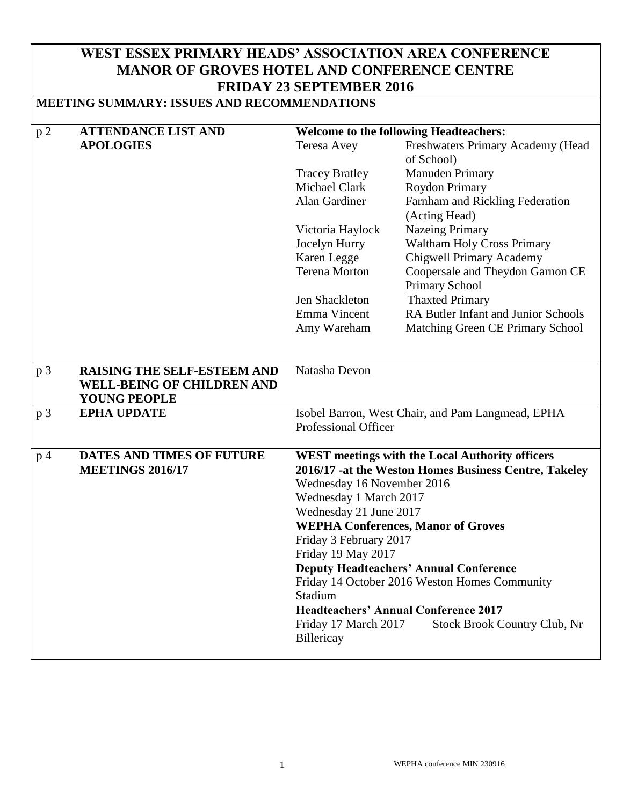## **WEST ESSEX PRIMARY HEADS' ASSOCIATION AREA CONFERENCE MANOR OF GROVES HOTEL AND CONFERENCE CENTRE FRIDAY 23 SEPTEMBER 2016**

## **MEETING SUMMARY: ISSUES AND RECOMMENDATIONS**

| p2             | <b>ATTENDANCE LIST AND</b>                               |                                                        | <b>Welcome to the following Headteachers:</b>     |  |
|----------------|----------------------------------------------------------|--------------------------------------------------------|---------------------------------------------------|--|
|                | <b>APOLOGIES</b>                                         | Teresa Avey                                            | Freshwaters Primary Academy (Head                 |  |
|                |                                                          |                                                        | of School)                                        |  |
|                |                                                          | <b>Tracey Bratley</b>                                  | Manuden Primary                                   |  |
|                |                                                          | <b>Michael Clark</b>                                   | Roydon Primary                                    |  |
|                |                                                          | Alan Gardiner                                          | Farnham and Rickling Federation                   |  |
|                |                                                          |                                                        | (Acting Head)                                     |  |
|                |                                                          | Victoria Haylock                                       | <b>Nazeing Primary</b>                            |  |
|                |                                                          | Jocelyn Hurry                                          | <b>Waltham Holy Cross Primary</b>                 |  |
|                |                                                          | Karen Legge                                            | Chigwell Primary Academy                          |  |
|                |                                                          | <b>Terena Morton</b>                                   | Coopersale and Theydon Garnon CE                  |  |
|                |                                                          |                                                        | Primary School                                    |  |
|                |                                                          | Jen Shackleton                                         | <b>Thaxted Primary</b>                            |  |
|                |                                                          | Emma Vincent                                           | RA Butler Infant and Junior Schools               |  |
|                |                                                          | Amy Wareham                                            | Matching Green CE Primary School                  |  |
|                |                                                          |                                                        |                                                   |  |
|                |                                                          |                                                        |                                                   |  |
| p 3            | <b>RAISING THE SELF-ESTEEM AND</b>                       | Natasha Devon                                          |                                                   |  |
|                | <b>WELL-BEING OF CHILDREN AND</b>                        |                                                        |                                                   |  |
|                | <b>YOUNG PEOPLE</b>                                      |                                                        |                                                   |  |
| p <sub>3</sub> | <b>EPHA UPDATE</b>                                       |                                                        | Isobel Barron, West Chair, and Pam Langmead, EPHA |  |
|                |                                                          | <b>Professional Officer</b>                            |                                                   |  |
|                |                                                          |                                                        |                                                   |  |
| p <sub>4</sub> | DATES AND TIMES OF FUTURE                                | <b>WEST</b> meetings with the Local Authority officers |                                                   |  |
|                | <b>MEETINGS 2016/17</b>                                  | 2016/17 -at the Weston Homes Business Centre, Takeley  |                                                   |  |
|                |                                                          | Wednesday 16 November 2016                             |                                                   |  |
|                |                                                          | Wednesday 1 March 2017                                 |                                                   |  |
|                |                                                          | Wednesday 21 June 2017                                 |                                                   |  |
|                |                                                          | <b>WEPHA Conferences, Manor of Groves</b>              |                                                   |  |
|                |                                                          | Friday 3 February 2017                                 |                                                   |  |
|                |                                                          | Friday 19 May 2017                                     |                                                   |  |
|                |                                                          |                                                        | <b>Deputy Headteachers' Annual Conference</b>     |  |
|                | Friday 14 October 2016 Weston Homes Community<br>Stadium |                                                        |                                                   |  |
|                |                                                          |                                                        |                                                   |  |
|                |                                                          |                                                        | <b>Headteachers' Annual Conference 2017</b>       |  |
|                |                                                          | Friday 17 March 2017                                   | <b>Stock Brook Country Club, Nr</b>               |  |
|                |                                                          | Billericay                                             |                                                   |  |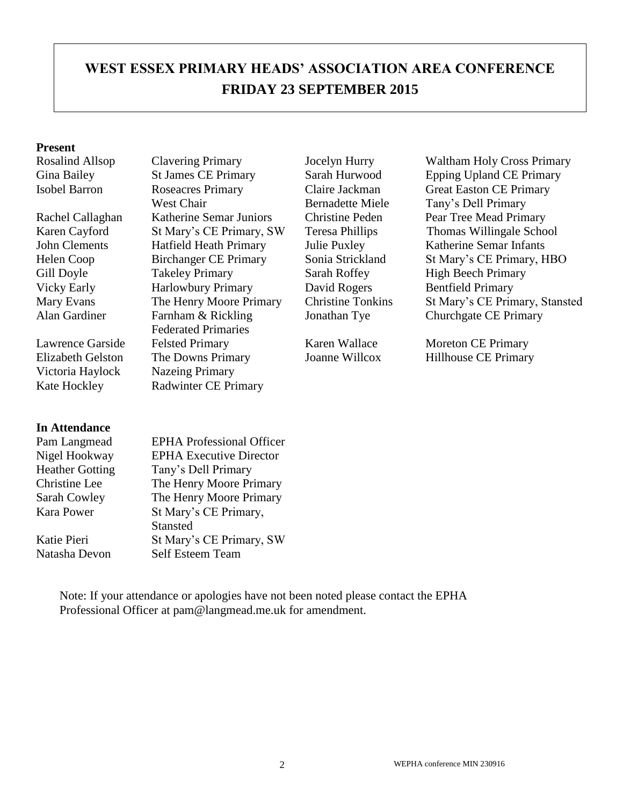# **WEST ESSEX PRIMARY HEADS' ASSOCIATION AREA CONFERENCE FRIDAY 23 SEPTEMBER 2015**

#### **Present**

Victoria Haylock Nazeing Primary

#### **In Attendance**

Isobel Barron Roseacres Primary West Chair Rachel Callaghan Katherine Semar Juniors Christine Peden Pear Tree Mead Primary John Clements Hatfield Heath Primary Julie Puxley Katherine Semar Infants Gill Doyle Takeley Primary Sarah Roffey High Beech Primary Vicky Early **Harlowbury Primary** David Rogers Bentfield Primary Alan Gardiner Farnham & Rickling Federated Primaries Lawrence Garside Felsted Primary Karen Wallace Moreton CE Primary Elizabeth Gelston The Downs Primary Joanne Willcox Hillhouse CE Primary Kate Hockley Radwinter CE Primary

Claire Jackman Bernadette Miele

Rosalind Allsop Clavering Primary Jocelyn Hurry Waltham Holy Cross Primary Gina Bailey St James CE Primary Sarah Hurwood Epping Upland CE Primary Great Easton CE Primary Tany's Dell Primary Karen Cayford St Mary's CE Primary, SW Teresa Phillips Thomas Willingale School Helen Coop Birchanger CE Primary Sonia Strickland St Mary's CE Primary, HBO Mary Evans The Henry Moore Primary Christine Tonkins St Mary's CE Primary, Stansted Jonathan Tye Churchgate CE Primary

| <b>EPHA</b> Professional Officer |
|----------------------------------|
|                                  |
| <b>EPHA Executive Director</b>   |
| Tany's Dell Primary              |
| The Henry Moore Primary          |
| The Henry Moore Primary          |
| St Mary's CE Primary,            |
| Stansted                         |
| St Mary's CE Primary, SW         |
| Self Esteem Team                 |
|                                  |

Note: If your attendance or apologies have not been noted please contact the EPHA Professional Officer at pam@langmead.me.uk for amendment.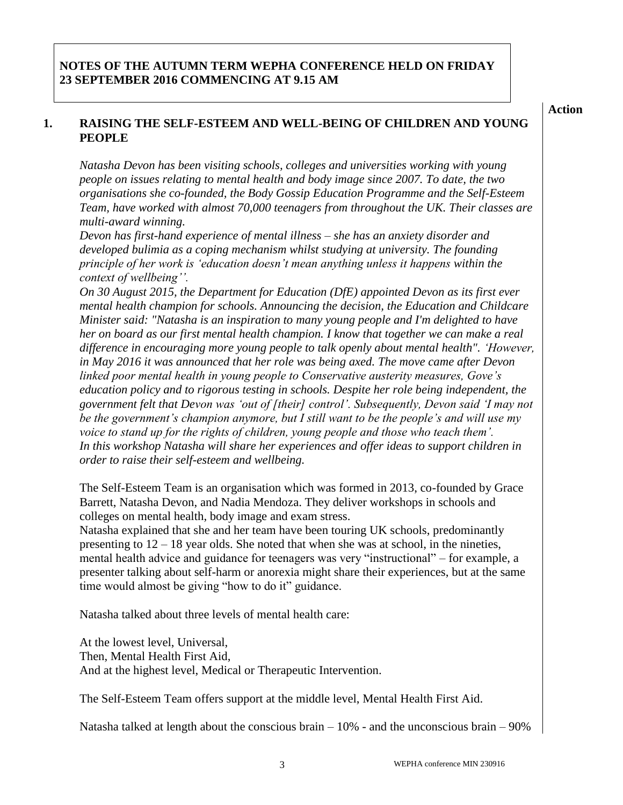**Action**

### **1. RAISING THE SELF-ESTEEM AND WELL-BEING OF CHILDREN AND YOUNG PEOPLE**

*Natasha Devon has been visiting schools, colleges and universities working with young people on issues relating to mental health and body image since 2007. To date, the two organisations she co-founded, the Body Gossip Education Programme and the Self-Esteem Team, have worked with almost 70,000 teenagers from throughout the UK. Their classes are multi-award winning.* 

*Devon has first-hand experience of mental illness – she has an anxiety disorder and developed bulimia as a coping mechanism whilst studying at university. The founding principle of her work is 'education doesn't mean anything unless it happens within the context of wellbeing''.*

*On 30 August 2015, the Department for Education (DfE) appointed Devon as its first ever mental health champion for schools. Announcing the decision, the Education and Childcare Minister said: "Natasha is an inspiration to many young people and I'm delighted to have her on board as our first mental health champion. I know that together we can make a real difference in encouraging more young people to talk openly about mental health". 'However, in May 2016 it was announced that her role was being axed. The move came after Devon linked poor mental health in young people to Conservative austerity measures, Gove's education policy and to rigorous testing in schools. Despite her role being independent, the government felt that Devon was 'out of [their] control'. Subsequently, Devon said 'I may not be the government's champion anymore, but I still want to be the people's and will use my voice to stand up for the rights of children, young people and those who teach them'. In this workshop Natasha will share her experiences and offer ideas to support children in order to raise their self-esteem and wellbeing.*

The Self-Esteem Team is an organisation which was formed in 2013, co-founded by Grace Barrett, Natasha Devon, and Nadia Mendoza. They deliver workshops in schools and colleges on mental health, body image and exam stress.

Natasha explained that she and her team have been touring UK schools, predominantly presenting to  $12 - 18$  year olds. She noted that when she was at school, in the nineties, mental health advice and guidance for teenagers was very "instructional" – for example, a presenter talking about self-harm or anorexia might share their experiences, but at the same time would almost be giving "how to do it" guidance.

Natasha talked about three levels of mental health care:

At the lowest level, Universal, Then, Mental Health First Aid, And at the highest level, Medical or Therapeutic Intervention.

The Self-Esteem Team offers support at the middle level, Mental Health First Aid.

Natasha talked at length about the conscious brain  $-10\%$  - and the unconscious brain  $-90\%$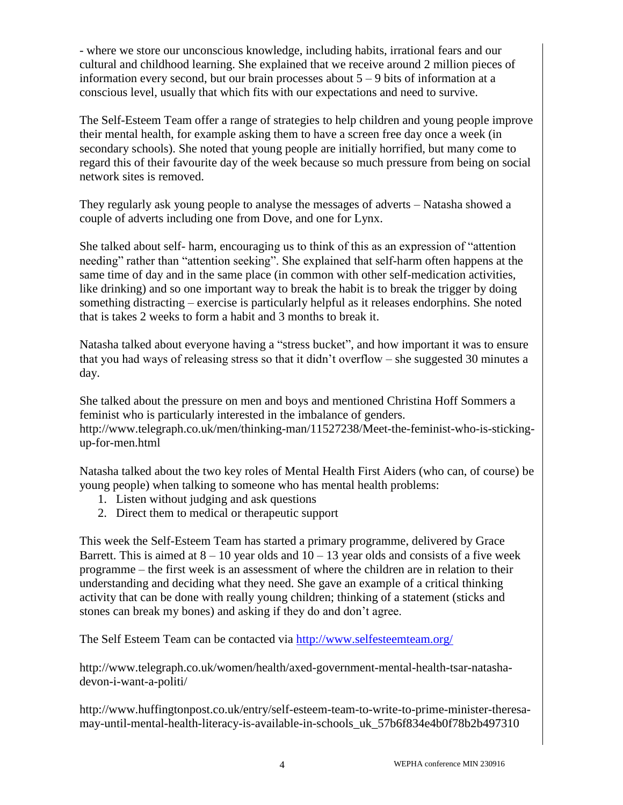- where we store our unconscious knowledge, including habits, irrational fears and our cultural and childhood learning. She explained that we receive around 2 million pieces of information every second, but our brain processes about  $5 - 9$  bits of information at a conscious level, usually that which fits with our expectations and need to survive.

The Self-Esteem Team offer a range of strategies to help children and young people improve their mental health, for example asking them to have a screen free day once a week (in secondary schools). She noted that young people are initially horrified, but many come to regard this of their favourite day of the week because so much pressure from being on social network sites is removed.

They regularly ask young people to analyse the messages of adverts – Natasha showed a couple of adverts including one from Dove, and one for Lynx.

She talked about self- harm, encouraging us to think of this as an expression of "attention needing" rather than "attention seeking". She explained that self-harm often happens at the same time of day and in the same place (in common with other self-medication activities, like drinking) and so one important way to break the habit is to break the trigger by doing something distracting – exercise is particularly helpful as it releases endorphins. She noted that is takes 2 weeks to form a habit and 3 months to break it.

Natasha talked about everyone having a "stress bucket", and how important it was to ensure that you had ways of releasing stress so that it didn't overflow – she suggested 30 minutes a day.

She talked about the pressure on men and boys and mentioned Christina Hoff Sommers a feminist who is particularly interested in the imbalance of genders. http://www.telegraph.co.uk/men/thinking-man/11527238/Meet-the-feminist-who-is-stickingup-for-men.html

Natasha talked about the two key roles of Mental Health First Aiders (who can, of course) be young people) when talking to someone who has mental health problems:

- 1. Listen without judging and ask questions
- 2. Direct them to medical or therapeutic support

This week the Self-Esteem Team has started a primary programme, delivered by Grace Barrett. This is aimed at  $8 - 10$  year olds and  $10 - 13$  year olds and consists of a five week programme – the first week is an assessment of where the children are in relation to their understanding and deciding what they need. She gave an example of a critical thinking activity that can be done with really young children; thinking of a statement (sticks and stones can break my bones) and asking if they do and don't agree.

The Self Esteem Team can be contacted via<http://www.selfesteemteam.org/>

http://www.telegraph.co.uk/women/health/axed-government-mental-health-tsar-natashadevon-i-want-a-politi/

http://www.huffingtonpost.co.uk/entry/self-esteem-team-to-write-to-prime-minister-theresamay-until-mental-health-literacy-is-available-in-schools\_uk\_57b6f834e4b0f78b2b497310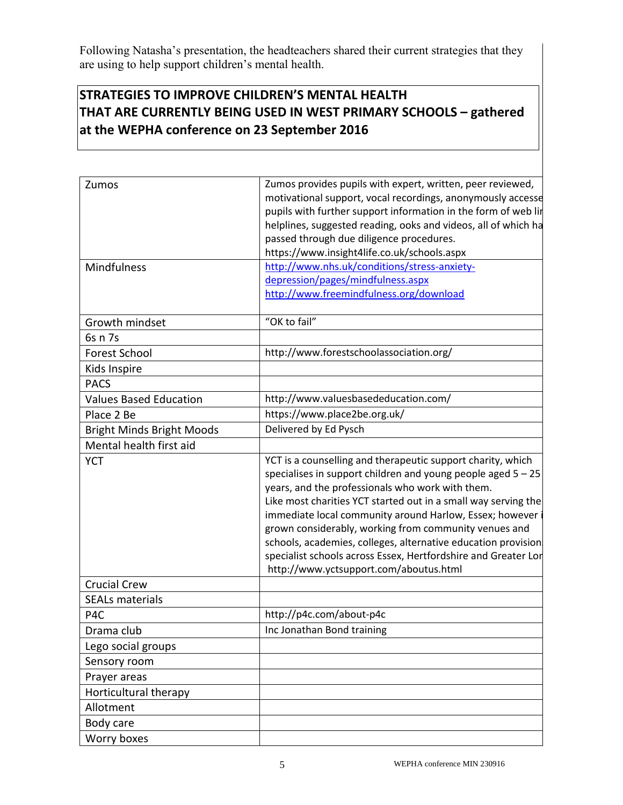Following Natasha's presentation, the headteachers shared their current strategies that they are using to help support children's mental health.

## **STRATEGIES TO IMPROVE CHILDREN'S MENTAL HEALTH THAT ARE CURRENTLY BEING USED IN WEST PRIMARY SCHOOLS – gathered at the WEPHA conference on 23 September 2016**

| Zumos                              | Zumos provides pupils with expert, written, peer reviewed,<br>motivational support, vocal recordings, anonymously accesse<br>pupils with further support information in the form of web lir<br>helplines, suggested reading, ooks and videos, all of which ha<br>passed through due diligence procedures.<br>https://www.insight4life.co.uk/schools.aspx                                                                                                                                                                                               |
|------------------------------------|--------------------------------------------------------------------------------------------------------------------------------------------------------------------------------------------------------------------------------------------------------------------------------------------------------------------------------------------------------------------------------------------------------------------------------------------------------------------------------------------------------------------------------------------------------|
| Mindfulness                        | http://www.nhs.uk/conditions/stress-anxiety-<br>depression/pages/mindfulness.aspx                                                                                                                                                                                                                                                                                                                                                                                                                                                                      |
|                                    | http://www.freemindfulness.org/download                                                                                                                                                                                                                                                                                                                                                                                                                                                                                                                |
| Growth mindset                     | "OK to fail"                                                                                                                                                                                                                                                                                                                                                                                                                                                                                                                                           |
| 6s n 7s                            |                                                                                                                                                                                                                                                                                                                                                                                                                                                                                                                                                        |
| Forest School                      | http://www.forestschoolassociation.org/                                                                                                                                                                                                                                                                                                                                                                                                                                                                                                                |
| Kids Inspire                       |                                                                                                                                                                                                                                                                                                                                                                                                                                                                                                                                                        |
| <b>PACS</b>                        |                                                                                                                                                                                                                                                                                                                                                                                                                                                                                                                                                        |
| <b>Values Based Education</b>      | http://www.valuesbasededucation.com/                                                                                                                                                                                                                                                                                                                                                                                                                                                                                                                   |
| Place 2 Be                         | https://www.place2be.org.uk/                                                                                                                                                                                                                                                                                                                                                                                                                                                                                                                           |
| <b>Bright Minds Bright Moods</b>   | Delivered by Ed Pysch                                                                                                                                                                                                                                                                                                                                                                                                                                                                                                                                  |
| Mental health first aid            |                                                                                                                                                                                                                                                                                                                                                                                                                                                                                                                                                        |
| <b>YCT</b>                         | YCT is a counselling and therapeutic support charity, which<br>specialises in support children and young people aged $5 - 25$<br>years, and the professionals who work with them.<br>Like most charities YCT started out in a small way serving the<br>immediate local community around Harlow, Essex; however i<br>grown considerably, working from community venues and<br>schools, academies, colleges, alternative education provision<br>specialist schools across Essex, Hertfordshire and Greater Lor<br>http://www.yctsupport.com/aboutus.html |
| <b>Crucial Crew</b>                |                                                                                                                                                                                                                                                                                                                                                                                                                                                                                                                                                        |
| <b>SEALs materials</b><br>P4C      | http://p4c.com/about-p4c                                                                                                                                                                                                                                                                                                                                                                                                                                                                                                                               |
|                                    | Inc Jonathan Bond training                                                                                                                                                                                                                                                                                                                                                                                                                                                                                                                             |
| Drama club                         |                                                                                                                                                                                                                                                                                                                                                                                                                                                                                                                                                        |
| Lego social groups<br>Sensory room |                                                                                                                                                                                                                                                                                                                                                                                                                                                                                                                                                        |
| Prayer areas                       |                                                                                                                                                                                                                                                                                                                                                                                                                                                                                                                                                        |
| Horticultural therapy              |                                                                                                                                                                                                                                                                                                                                                                                                                                                                                                                                                        |
| Allotment                          |                                                                                                                                                                                                                                                                                                                                                                                                                                                                                                                                                        |
| Body care                          |                                                                                                                                                                                                                                                                                                                                                                                                                                                                                                                                                        |
| Worry boxes                        |                                                                                                                                                                                                                                                                                                                                                                                                                                                                                                                                                        |
|                                    |                                                                                                                                                                                                                                                                                                                                                                                                                                                                                                                                                        |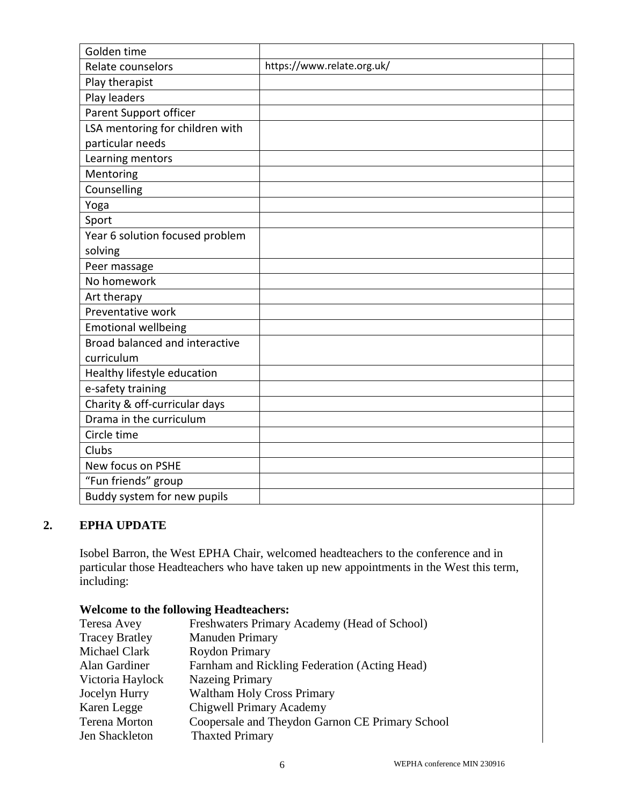| Golden time                     |                            |  |
|---------------------------------|----------------------------|--|
| Relate counselors               | https://www.relate.org.uk/ |  |
| Play therapist                  |                            |  |
| Play leaders                    |                            |  |
| Parent Support officer          |                            |  |
| LSA mentoring for children with |                            |  |
| particular needs                |                            |  |
| Learning mentors                |                            |  |
| Mentoring                       |                            |  |
| Counselling                     |                            |  |
| Yoga                            |                            |  |
| Sport                           |                            |  |
| Year 6 solution focused problem |                            |  |
| solving                         |                            |  |
| Peer massage                    |                            |  |
| No homework                     |                            |  |
| Art therapy                     |                            |  |
| Preventative work               |                            |  |
| <b>Emotional wellbeing</b>      |                            |  |
| Broad balanced and interactive  |                            |  |
| curriculum                      |                            |  |
| Healthy lifestyle education     |                            |  |
| e-safety training               |                            |  |
| Charity & off-curricular days   |                            |  |
| Drama in the curriculum         |                            |  |
| Circle time                     |                            |  |
| Clubs                           |                            |  |
| New focus on PSHE               |                            |  |
| "Fun friends" group             |                            |  |
| Buddy system for new pupils     |                            |  |

#### **2. EPHA UPDATE**

Isobel Barron, the West EPHA Chair, welcomed headteachers to the conference and in particular those Headteachers who have taken up new appointments in the West this term, including:

#### **Welcome to the following Headteachers:**

| Teresa Avey           | Freshwaters Primary Academy (Head of School)    |
|-----------------------|-------------------------------------------------|
| <b>Tracey Bratley</b> | Manuden Primary                                 |
| Michael Clark         | Roydon Primary                                  |
| Alan Gardiner         | Farnham and Rickling Federation (Acting Head)   |
| Victoria Haylock      | <b>Nazeing Primary</b>                          |
| Jocelyn Hurry         | <b>Waltham Holy Cross Primary</b>               |
| Karen Legge           | <b>Chigwell Primary Academy</b>                 |
| <b>Terena Morton</b>  | Coopersale and Theydon Garnon CE Primary School |
| Jen Shackleton        | <b>Thaxted Primary</b>                          |